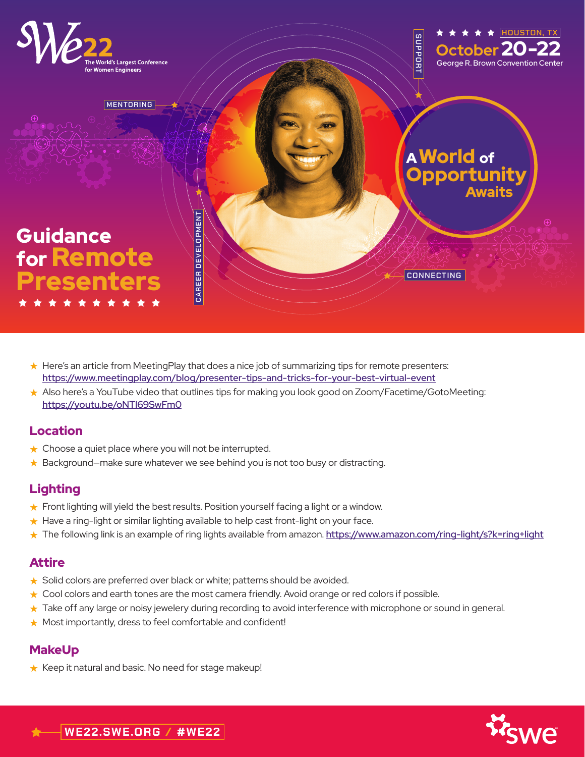

- ★ Here's an article from MeetingPlay that does a nice job of summarizing tips for remote presenters: <https://www.meetingplay.com/blog/presenter-tips-and-tricks-for-your-best-virtual-event>
- ★ Also here's a YouTube video that outlines tips for making you look good on Zoom/Facetime/GotoMeeting: <https://youtu.be/oNTl69SwFm0>

#### Location

- ★ Choose a quiet place where you will not be interrupted.
- ★ Background–make sure whatever we see behind you is not too busy or distracting.

# Lighting

- ★ Front lighting will yield the best results. Position yourself facing a light or a window.
- ★ Have a ring-light or similar lighting available to help cast front-light on your face.
- ★ The following link is an example of ring lights available from amazon. <https://www.amazon.com/ring-light/s?k=ring+light>

## Attire

- ★ Solid colors are preferred over black or white; patterns should be avoided.
- ★ Cool colors and earth tones are the most camera friendly. Avoid orange or red colors if possible.
- ★ Take off any large or noisy jewelery during recording to avoid interference with microphone or sound in general.
- ★ Most importantly, dress to feel comfortable and confident!

# **MakeUp**

★ Keep it natural and basic. No need for stage makeup!